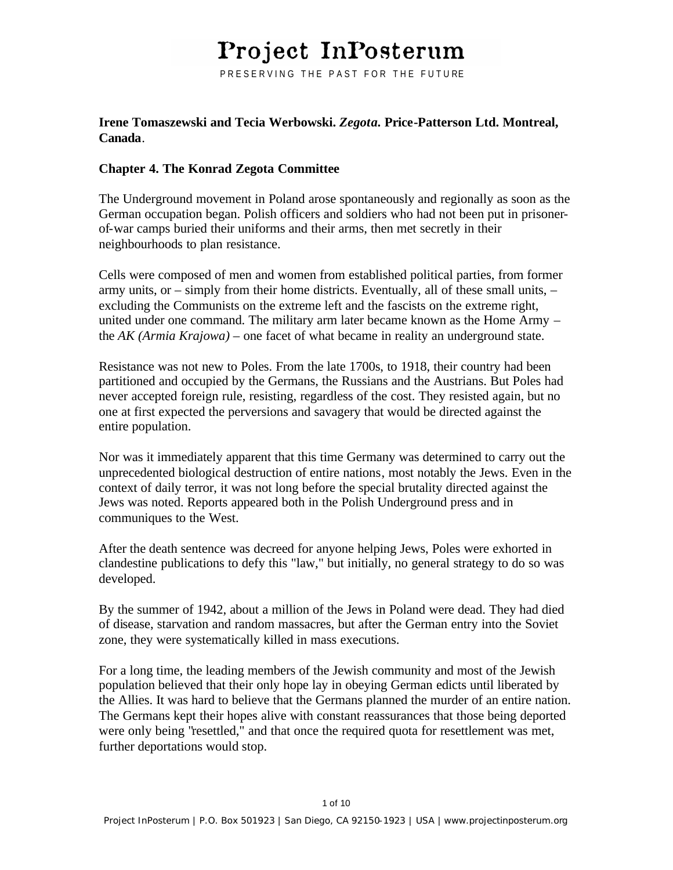# Project InPosterum

PRESERVING THE PAST FOR THE FUTURE

# **Irene Tomaszewski and Tecia Werbowski.** *Zegota***. Price-Patterson Ltd. Montreal, Canada**.

#### **Chapter 4. The Konrad Zegota Committee**

The Underground movement in Poland arose spontaneously and regionally as soon as the German occupation began. Polish officers and soldiers who had not been put in prisonerof-war camps buried their uniforms and their arms, then met secretly in their neighbourhoods to plan resistance.

Cells were composed of men and women from established political parties, from former army units, or – simply from their home districts. Eventually, all of these small units, – excluding the Communists on the extreme left and the fascists on the extreme right, united under one command. The military arm later became known as the Home Army – the *AK (Armia Krajowa)* – one facet of what became in reality an underground state.

Resistance was not new to Poles. From the late 1700s, to 1918, their country had been partitioned and occupied by the Germans, the Russians and the Austrians. But Poles had never accepted foreign rule, resisting, regardless of the cost. They resisted again, but no one at first expected the perversions and savagery that would be directed against the entire population.

Nor was it immediately apparent that this time Germany was determined to carry out the unprecedented biological destruction of entire nations, most notably the Jews. Even in the context of daily terror, it was not long before the special brutality directed against the Jews was noted. Reports appeared both in the Polish Underground press and in communiques to the West.

After the death sentence was decreed for anyone helping Jews, Poles were exhorted in clandestine publications to defy this "law," but initially, no general strategy to do so was developed.

By the summer of 1942, about a million of the Jews in Poland were dead. They had died of disease, starvation and random massacres, but after the German entry into the Soviet zone, they were systematically killed in mass executions.

For a long time, the leading members of the Jewish community and most of the Jewish population believed that their only hope lay in obeying German edicts until liberated by the Allies. It was hard to believe that the Germans planned the murder of an entire nation. The Germans kept their hopes alive with constant reassurances that those being deported were only being "resettled," and that once the required quota for resettlement was met, further deportations would stop.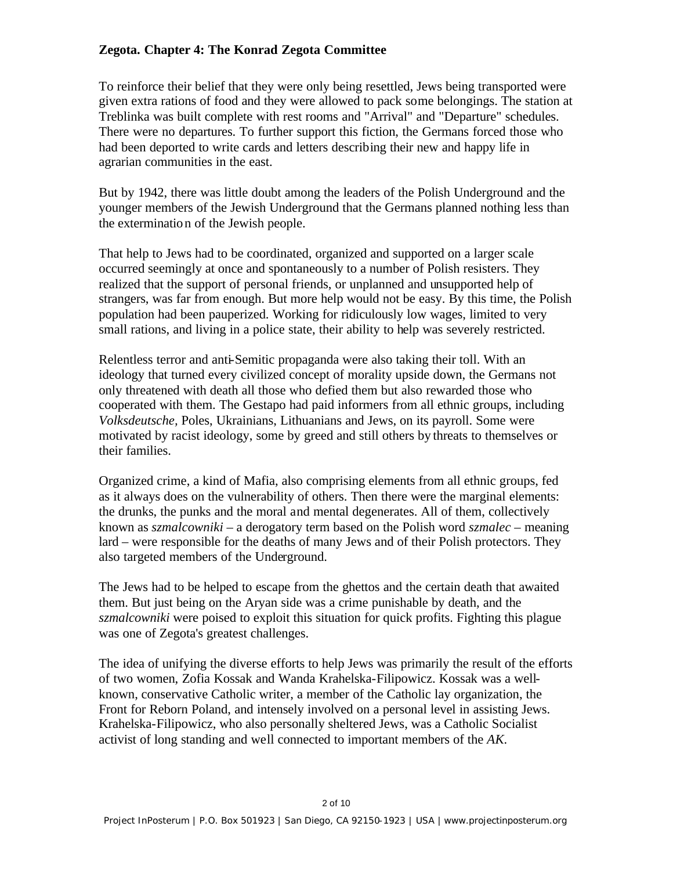To reinforce their belief that they were only being resettled, Jews being transported were given extra rations of food and they were allowed to pack some belongings. The station at Treblinka was built complete with rest rooms and "Arrival" and "Departure" schedules. There were no departures. To further support this fiction, the Germans forced those who had been deported to write cards and letters describing their new and happy life in agrarian communities in the east.

But by 1942, there was little doubt among the leaders of the Polish Underground and the younger members of the Jewish Underground that the Germans planned nothing less than the extermination of the Jewish people.

That help to Jews had to be coordinated, organized and supported on a larger scale occurred seemingly at once and spontaneously to a number of Polish resisters. They realized that the support of personal friends, or unplanned and unsupported help of strangers, was far from enough. But more help would not be easy. By this time, the Polish population had been pauperized. Working for ridiculously low wages, limited to very small rations, and living in a police state, their ability to help was severely restricted.

Relentless terror and anti-Semitic propaganda were also taking their toll. With an ideology that turned every civilized concept of morality upside down, the Germans not only threatened with death all those who defied them but also rewarded those who cooperated with them. The Gestapo had paid informers from all ethnic groups, including *Volksdeutsche,* Poles, Ukrainians, Lithuanians and Jews, on its payroll. Some were motivated by racist ideology, some by greed and still others by threats to themselves or their families.

Organized crime, a kind of Mafia, also comprising elements from all ethnic groups, fed as it always does on the vulnerability of others. Then there were the marginal elements: the drunks, the punks and the moral and mental degenerates. All of them, collectively known as *szmalcowniki –* a derogatory term based on the Polish word *szmalec* – meaning lard – were responsible for the deaths of many Jews and of their Polish protectors. They also targeted members of the Underground.

The Jews had to be helped to escape from the ghettos and the certain death that awaited them. But just being on the Aryan side was a crime punishable by death, and the *szmalcowniki* were poised to exploit this situation for quick profits. Fighting this plague was one of Zegota's greatest challenges.

The idea of unifying the diverse efforts to help Jews was primarily the result of the efforts of two women, Zofia Kossak and Wanda Krahelska-Filipowicz. Kossak was a wellknown, conservative Catholic writer, a member of the Catholic lay organization, the Front for Reborn Poland, and intensely involved on a personal level in assisting Jews. Krahelska-Filipowicz, who also personally sheltered Jews, was a Catholic Socialist activist of long standing and well connected to important members of the *AK.*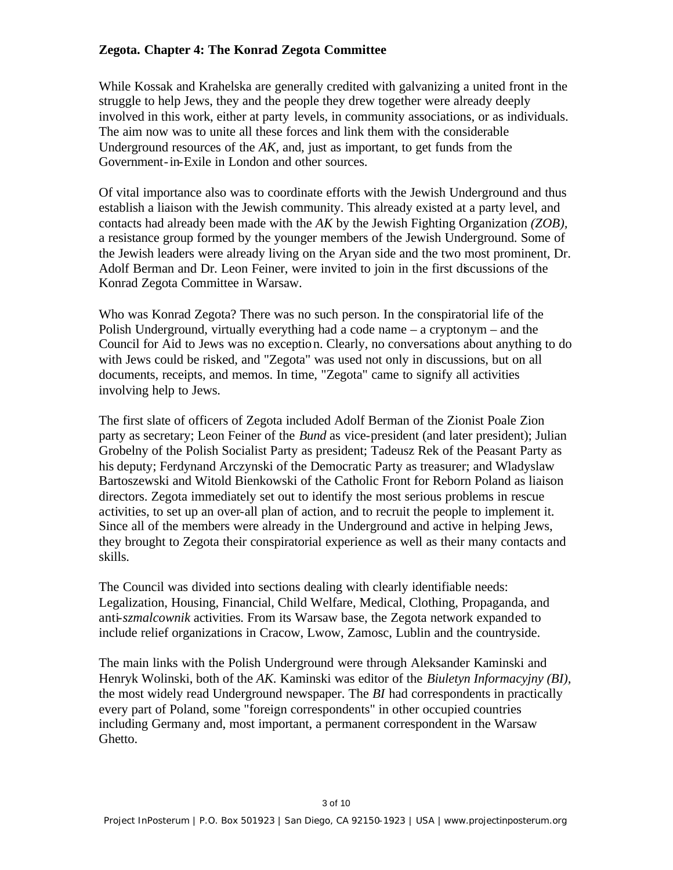While Kossak and Krahelska are generally credited with galvanizing a united front in the struggle to help Jews, they and the people they drew together were already deeply involved in this work, either at party levels, in community associations, or as individuals. The aim now was to unite all these forces and link them with the considerable Underground resources of the *AK,* and, just as important, to get funds from the Government-in-Exile in London and other sources.

Of vital importance also was to coordinate efforts with the Jewish Underground and thus establish a liaison with the Jewish community. This already existed at a party level, and contacts had already been made with the *AK* by the Jewish Fighting Organization *(ZOB),*  a resistance group formed by the younger members of the Jewish Underground. Some of the Jewish leaders were already living on the Aryan side and the two most prominent, Dr. Adolf Berman and Dr. Leon Feiner, were invited to join in the first discussions of the Konrad Zegota Committee in Warsaw.

Who was Konrad Zegota? There was no such person. In the conspiratorial life of the Polish Underground, virtually everything had a code name – a cryptonym – and the Council for Aid to Jews was no exception. Clearly, no conversations about anything to do with Jews could be risked, and "Zegota" was used not only in discussions, but on all documents, receipts, and memos. In time, "Zegota" came to signify all activities involving help to Jews.

The first slate of officers of Zegota included Adolf Berman of the Zionist Poale Zion party as secretary; Leon Feiner of the *Bund* as vice-president (and later president); Julian Grobelny of the Polish Socialist Party as president; Tadeusz Rek of the Peasant Party as his deputy; Ferdynand Arczynski of the Democratic Party as treasurer; and Wladyslaw Bartoszewski and Witold Bienkowski of the Catholic Front for Reborn Poland as liaison directors. Zegota immediately set out to identify the most serious problems in rescue activities, to set up an over-all plan of action, and to recruit the people to implement it. Since all of the members were already in the Underground and active in helping Jews, they brought to Zegota their conspiratorial experience as well as their many contacts and skills.

The Council was divided into sections dealing with clearly identifiable needs: Legalization, Housing, Financial, Child Welfare, Medical, Clothing, Propaganda, and anti*-szmalcownik* activities. From its Warsaw base, the Zegota network expanded to include relief organizations in Cracow, Lwow, Zamosc, Lublin and the countryside.

The main links with the Polish Underground were through Aleksander Kaminski and Henryk Wolinski, both of the *AK.* Kaminski was editor of the *Biuletyn Informacyjny (BI),* the most widely read Underground newspaper. The *BI* had correspondents in practically every part of Poland, some "foreign correspondents" in other occupied countries including Germany and, most important, a permanent correspondent in the Warsaw Ghetto.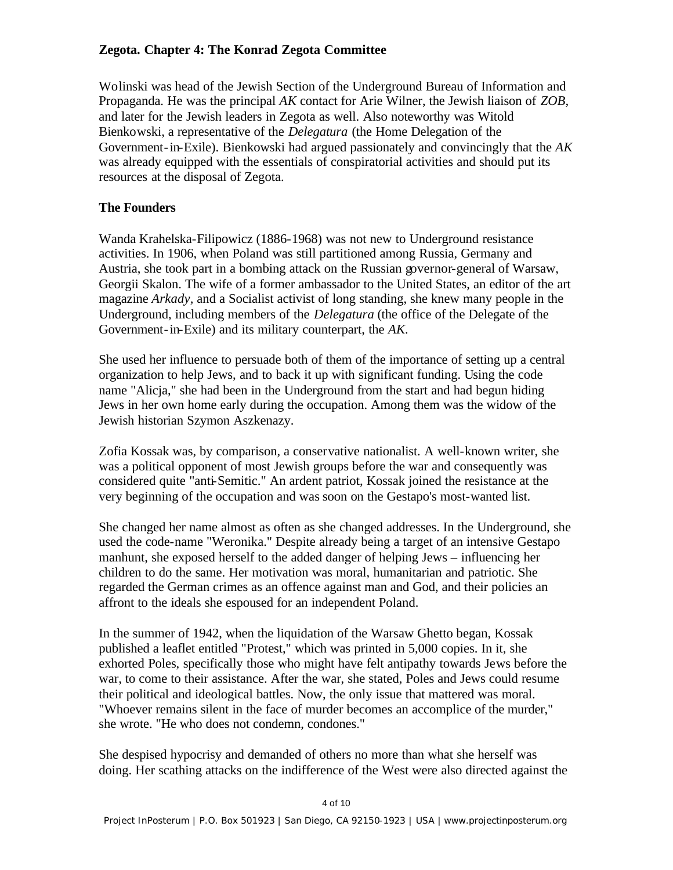Wolinski was head of the Jewish Section of the Underground Bureau of Information and Propaganda. He was the principal *AK* contact for Arie Wilner, the Jewish liaison of *ZOB,*  and later for the Jewish leaders in Zegota as well. Also noteworthy was Witold Bienkowski, a representative of the *Delegatura* (the Home Delegation of the Government-in-Exile). Bienkowski had argued passionately and convincingly that the *AK*  was already equipped with the essentials of conspiratorial activities and should put its resources at the disposal of Zegota.

# **The Founders**

Wanda Krahelska-Filipowicz (1886-1968) was not new to Underground resistance activities. In 1906, when Poland was still partitioned among Russia, Germany and Austria, she took part in a bombing attack on the Russian governor-general of Warsaw, Georgii Skalon. The wife of a former ambassador to the United States, an editor of the art magazine *Arkady,* and a Socialist activist of long standing, she knew many people in the Underground, including members of the *Delegatura* (the office of the Delegate of the Government-in-Exile) and its military counterpart, the *AK.* 

She used her influence to persuade both of them of the importance of setting up a central organization to help Jews, and to back it up with significant funding. Using the code name "Alicja," she had been in the Underground from the start and had begun hiding Jews in her own home early during the occupation. Among them was the widow of the Jewish historian Szymon Aszkenazy.

Zofia Kossak was, by comparison, a conservative nationalist. A well-known writer, she was a political opponent of most Jewish groups before the war and consequently was considered quite "anti-Semitic." An ardent patriot, Kossak joined the resistance at the very beginning of the occupation and was soon on the Gestapo's most-wanted list.

She changed her name almost as often as she changed addresses. In the Underground, she used the code-name "Weronika." Despite already being a target of an intensive Gestapo manhunt, she exposed herself to the added danger of helping Jews – influencing her children to do the same. Her motivation was moral, humanitarian and patriotic. She regarded the German crimes as an offence against man and God, and their policies an affront to the ideals she espoused for an independent Poland.

In the summer of 1942, when the liquidation of the Warsaw Ghetto began, Kossak published a leaflet entitled "Protest," which was printed in 5,000 copies. In it, she exhorted Poles, specifically those who might have felt antipathy towards Jews before the war, to come to their assistance. After the war, she stated, Poles and Jews could resume their political and ideological battles. Now, the only issue that mattered was moral. "Whoever remains silent in the face of murder becomes an accomplice of the murder," she wrote. "He who does not condemn, condones."

She despised hypocrisy and demanded of others no more than what she herself was doing. Her scathing attacks on the indifference of the West were also directed against the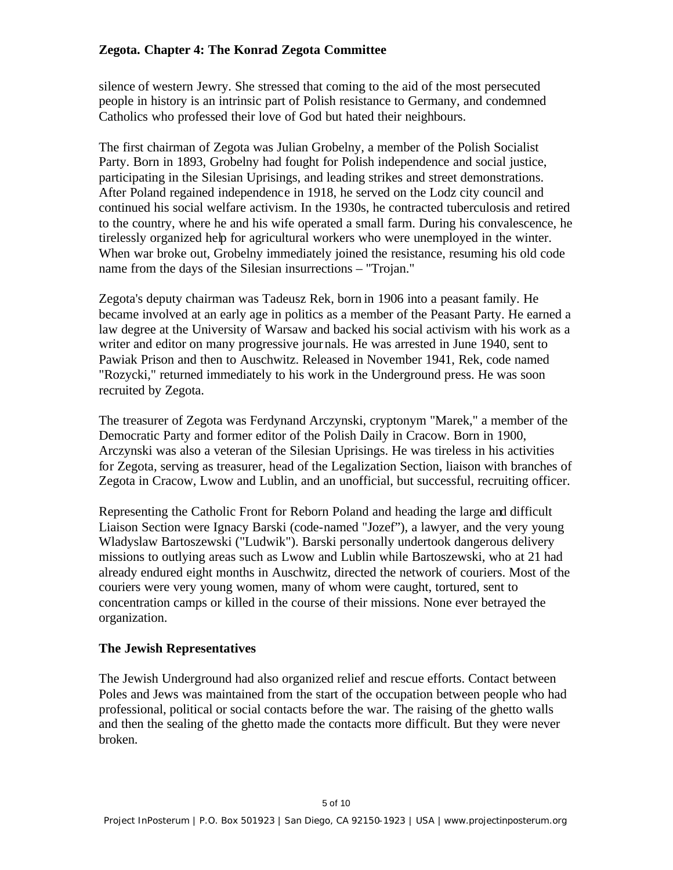silence of western Jewry. She stressed that coming to the aid of the most persecuted people in history is an intrinsic part of Polish resistance to Germany, and condemned Catholics who professed their love of God but hated their neighbours.

The first chairman of Zegota was Julian Grobelny, a member of the Polish Socialist Party. Born in 1893, Grobelny had fought for Polish independence and social justice, participating in the Silesian Uprisings, and leading strikes and street demonstrations. After Poland regained independence in 1918, he served on the Lodz city council and continued his social welfare activism. In the 1930s, he contracted tuberculosis and retired to the country, where he and his wife operated a small farm. During his convalescence, he tirelessly organized help for agricultural workers who were unemployed in the winter. When war broke out, Grobelny immediately joined the resistance, resuming his old code name from the days of the Silesian insurrections – "Trojan."

Zegota's deputy chairman was Tadeusz Rek, born in 1906 into a peasant family. He became involved at an early age in politics as a member of the Peasant Party. He earned a law degree at the University of Warsaw and backed his social activism with his work as a writer and editor on many progressive journals. He was arrested in June 1940, sent to Pawiak Prison and then to Auschwitz. Released in November 1941, Rek, code named "Rozycki," returned immediately to his work in the Underground press. He was soon recruited by Zegota.

The treasurer of Zegota was Ferdynand Arczynski, cryptonym "Marek," a member of the Democratic Party and former editor of the Polish Daily in Cracow. Born in 1900, Arczynski was also a veteran of the Silesian Uprisings. He was tireless in his activities for Zegota, serving as treasurer, head of the Legalization Section, liaison with branches of Zegota in Cracow, Lwow and Lublin, and an unofficial, but successful, recruiting officer.

Representing the Catholic Front for Reborn Poland and heading the large and difficult Liaison Section were Ignacy Barski (code-named "Jozef"), a lawyer, and the very young Wladyslaw Bartoszewski ("Ludwik"). Barski personally undertook dangerous delivery missions to outlying areas such as Lwow and Lublin while Bartoszewski, who at 21 had already endured eight months in Auschwitz, directed the network of couriers. Most of the couriers were very young women, many of whom were caught, tortured, sent to concentration camps or killed in the course of their missions. None ever betrayed the organization.

#### **The Jewish Representatives**

The Jewish Underground had also organized relief and rescue efforts. Contact between Poles and Jews was maintained from the start of the occupation between people who had professional, political or social contacts before the war. The raising of the ghetto walls and then the sealing of the ghetto made the contacts more difficult. But they were never broken.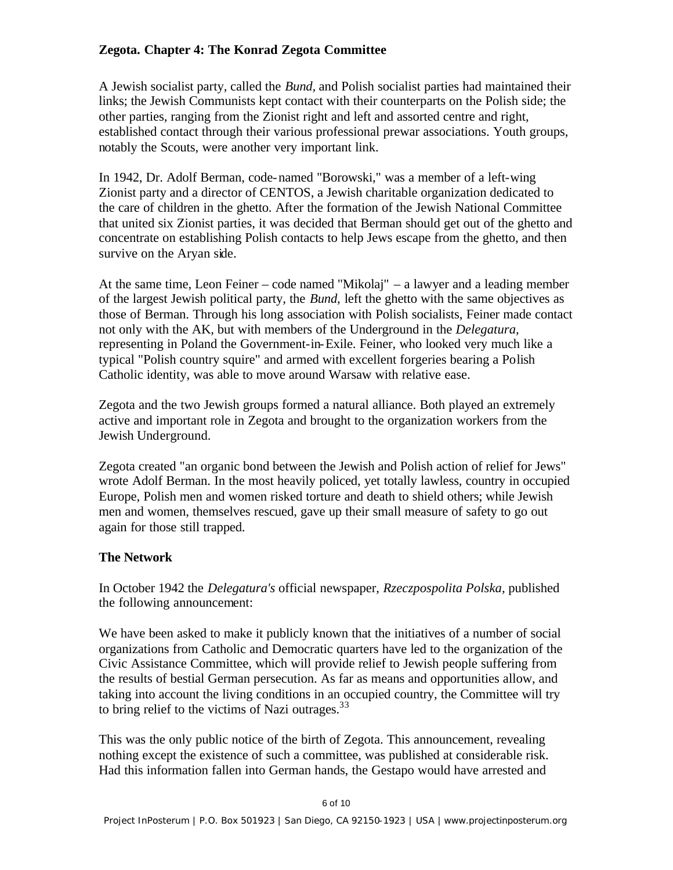A Jewish socialist party, called the *Bund,* and Polish socialist parties had maintained their links; the Jewish Communists kept contact with their counterparts on the Polish side; the other parties, ranging from the Zionist right and left and assorted centre and right, established contact through their various professional prewar associations. Youth groups, notably the Scouts, were another very important link.

In 1942, Dr. Adolf Berman, code-named "Borowski," was a member of a left-wing Zionist party and a director of CENTOS, a Jewish charitable organization dedicated to the care of children in the ghetto. After the formation of the Jewish National Committee that united six Zionist parties, it was decided that Berman should get out of the ghetto and concentrate on establishing Polish contacts to help Jews escape from the ghetto, and then survive on the Aryan side.

At the same time, Leon Feiner – code named "Mikolaj" – a lawyer and a leading member of the largest Jewish political party, the *Bund,* left the ghetto with the same objectives as those of Berman. Through his long association with Polish socialists, Feiner made contact not only with the AK, but with members of the Underground in the *Delegatura,*  representing in Poland the Government-in-Exile. Feiner, who looked very much like a typical "Polish country squire" and armed with excellent forgeries bearing a Polish Catholic identity, was able to move around Warsaw with relative ease.

Zegota and the two Jewish groups formed a natural alliance. Both played an extremely active and important role in Zegota and brought to the organization workers from the Jewish Underground.

Zegota created "an organic bond between the Jewish and Polish action of relief for Jews" wrote Adolf Berman. In the most heavily policed, yet totally lawless, country in occupied Europe, Polish men and women risked torture and death to shield others; while Jewish men and women, themselves rescued, gave up their small measure of safety to go out again for those still trapped.

#### **The Network**

In October 1942 the *Delegatura's* official newspaper, *Rzeczpospolita Polska,* published the following announcement:

We have been asked to make it publicly known that the initiatives of a number of social organizations from Catholic and Democratic quarters have led to the organization of the Civic Assistance Committee, which will provide relief to Jewish people suffering from the results of bestial German persecution. As far as means and opportunities allow, and taking into account the living conditions in an occupied country, the Committee will try to bring relief to the victims of Nazi outrages.<sup>33</sup>

This was the only public notice of the birth of Zegota. This announcement, revealing nothing except the existence of such a committee, was published at considerable risk. Had this information fallen into German hands, the Gestapo would have arrested and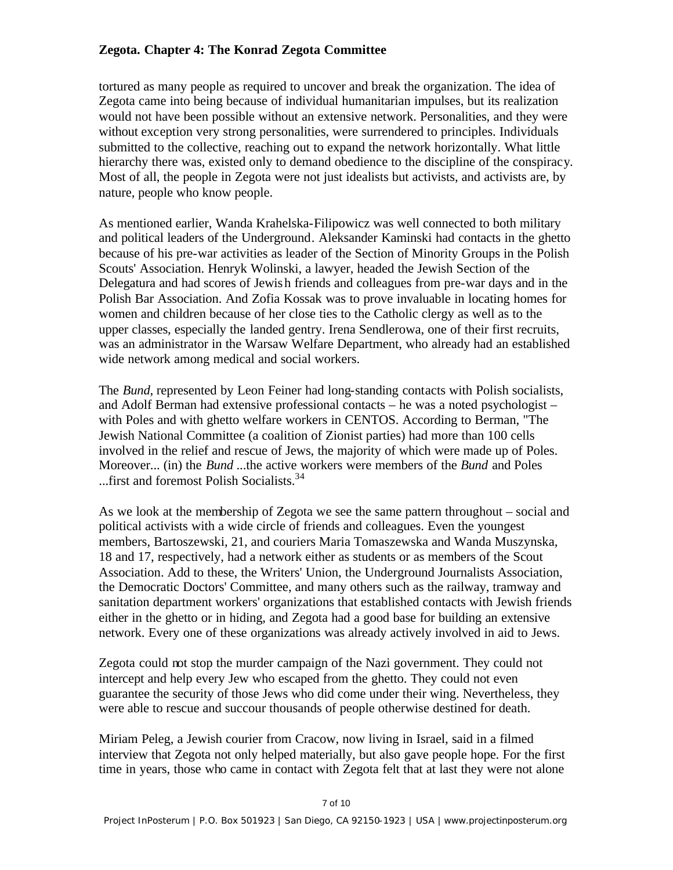tortured as many people as required to uncover and break the organization. The idea of Zegota came into being because of individual humanitarian impulses, but its realization would not have been possible without an extensive network. Personalities, and they were without exception very strong personalities, were surrendered to principles. Individuals submitted to the collective, reaching out to expand the network horizontally. What little hierarchy there was, existed only to demand obedience to the discipline of the conspiracy. Most of all, the people in Zegota were not just idealists but activists, and activists are, by nature, people who know people.

As mentioned earlier, Wanda Krahelska-Filipowicz was well connected to both military and political leaders of the Underground. Aleksander Kaminski had contacts in the ghetto because of his pre-war activities as leader of the Section of Minority Groups in the Polish Scouts' Association. Henryk Wolinski, a lawyer, headed the Jewish Section of the Delegatura and had scores of Jewish friends and colleagues from pre-war days and in the Polish Bar Association. And Zofia Kossak was to prove invaluable in locating homes for women and children because of her close ties to the Catholic clergy as well as to the upper classes, especially the landed gentry. Irena Sendlerowa, one of their first recruits, was an administrator in the Warsaw Welfare Department, who already had an established wide network among medical and social workers.

The *Bund,* represented by Leon Feiner had long-standing contacts with Polish socialists, and Adolf Berman had extensive professional contacts – he was a noted psychologist – with Poles and with ghetto welfare workers in CENTOS. According to Berman, "The Jewish National Committee (a coalition of Zionist parties) had more than 100 cells involved in the relief and rescue of Jews, the majority of which were made up of Poles. Moreover... (in) the *Bund* ...the active workers were members of the *Bund* and Poles ...first and foremost Polish Socialists.<sup>34</sup>

As we look at the membership of Zegota we see the same pattern throughout – social and political activists with a wide circle of friends and colleagues. Even the youngest members, Bartoszewski, 21, and couriers Maria Tomaszewska and Wanda Muszynska, 18 and 17, respectively, had a network either as students or as members of the Scout Association. Add to these, the Writers' Union, the Underground Journalists Association, the Democratic Doctors' Committee, and many others such as the railway, tramway and sanitation department workers' organizations that established contacts with Jewish friends either in the ghetto or in hiding, and Zegota had a good base for building an extensive network. Every one of these organizations was already actively involved in aid to Jews.

Zegota could not stop the murder campaign of the Nazi government. They could not intercept and help every Jew who escaped from the ghetto. They could not even guarantee the security of those Jews who did come under their wing. Nevertheless, they were able to rescue and succour thousands of people otherwise destined for death.

Miriam Peleg, a Jewish courier from Cracow, now living in Israel, said in a filmed interview that Zegota not only helped materially, but also gave people hope. For the first time in years, those who came in contact with Zegota felt that at last they were not alone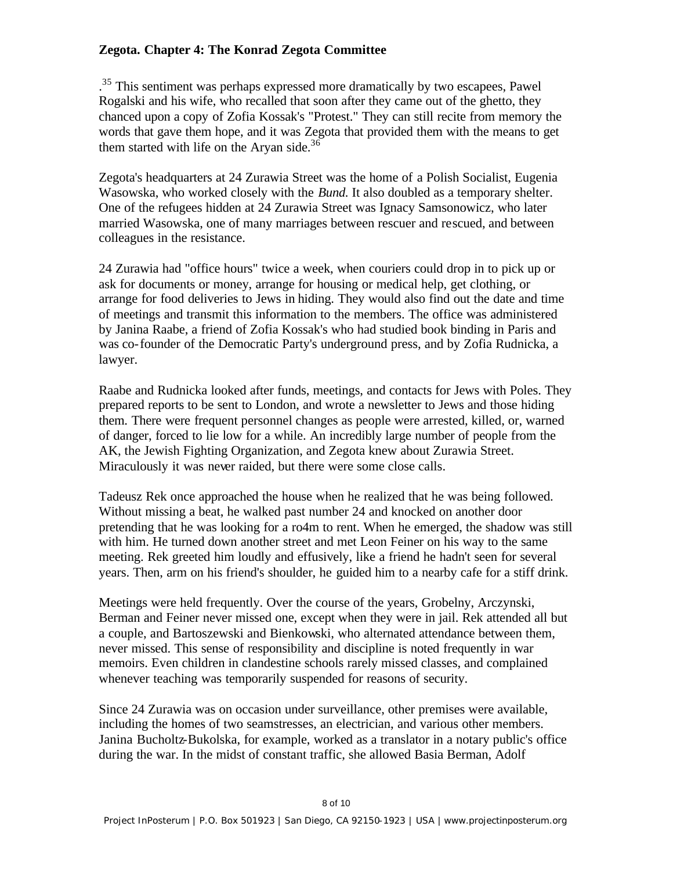<sup>35</sup> This sentiment was perhaps expressed more dramatically by two escapees, Pawel Rogalski and his wife, who recalled that soon after they came out of the ghetto, they chanced upon a copy of Zofia Kossak's "Protest." They can still recite from memory the words that gave them hope, and it was Zegota that provided them with the means to get them started with life on the Aryan side.<sup>36</sup>

Zegota's headquarters at 24 Zurawia Street was the home of a Polish Socialist, Eugenia Wasowska, who worked closely with the *Bund.* It also doubled as a temporary shelter. One of the refugees hidden at 24 Zurawia Street was Ignacy Samsonowicz, who later married Wasowska, one of many marriages between rescuer and rescued, and between colleagues in the resistance.

24 Zurawia had "office hours" twice a week, when couriers could drop in to pick up or ask for documents or money, arrange for housing or medical help, get clothing, or arrange for food deliveries to Jews in hiding. They would also find out the date and time of meetings and transmit this information to the members. The office was administered by Janina Raabe, a friend of Zofia Kossak's who had studied book binding in Paris and was co-founder of the Democratic Party's underground press, and by Zofia Rudnicka, a lawyer.

Raabe and Rudnicka looked after funds, meetings, and contacts for Jews with Poles. They prepared reports to be sent to London, and wrote a newsletter to Jews and those hiding them. There were frequent personnel changes as people were arrested, killed, or, warned of danger, forced to lie low for a while. An incredibly large number of people from the AK, the Jewish Fighting Organization, and Zegota knew about Zurawia Street. Miraculously it was never raided, but there were some close calls.

Tadeusz Rek once approached the house when he realized that he was being followed. Without missing a beat, he walked past number 24 and knocked on another door pretending that he was looking for a ro4m to rent. When he emerged, the shadow was still with him. He turned down another street and met Leon Feiner on his way to the same meeting. Rek greeted him loudly and effusively, like a friend he hadn't seen for several years. Then, arm on his friend's shoulder, he guided him to a nearby cafe for a stiff drink.

Meetings were held frequently. Over the course of the years, Grobelny, Arczynski, Berman and Feiner never missed one, except when they were in jail. Rek attended all but a couple, and Bartoszewski and Bienkowski, who alternated attendance between them, never missed. This sense of responsibility and discipline is noted frequently in war memoirs. Even children in clandestine schools rarely missed classes, and complained whenever teaching was temporarily suspended for reasons of security.

Since 24 Zurawia was on occasion under surveillance, other premises were available, including the homes of two seamstresses, an electrician, and various other members. Janina Bucholtz-Bukolska, for example, worked as a translator in a notary public's office during the war. In the midst of constant traffic, she allowed Basia Berman, Adolf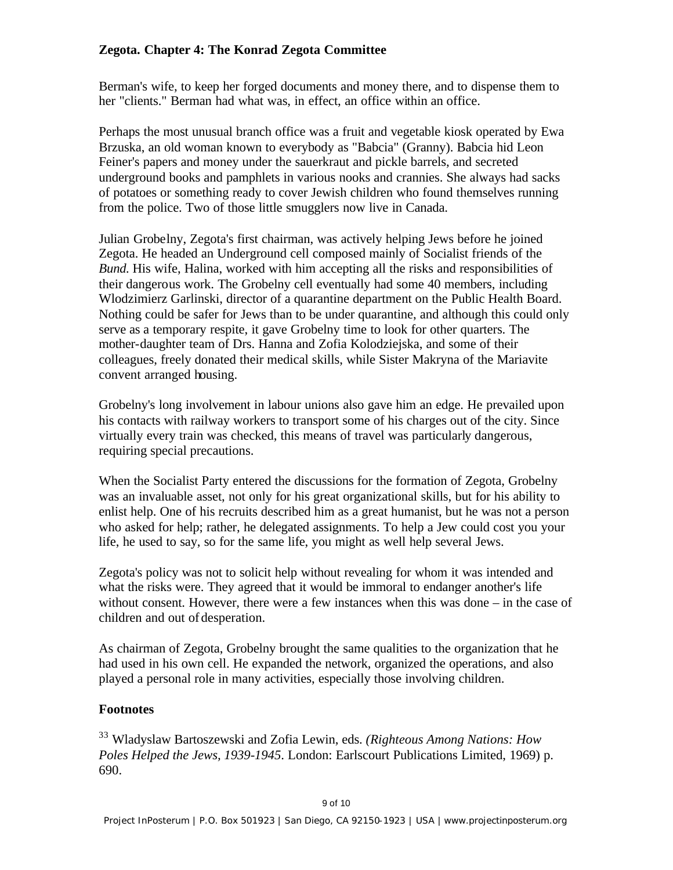Berman's wife, to keep her forged documents and money there, and to dispense them to her "clients." Berman had what was, in effect, an office within an office.

Perhaps the most unusual branch office was a fruit and vegetable kiosk operated by Ewa Brzuska, an old woman known to everybody as "Babcia" (Granny). Babcia hid Leon Feiner's papers and money under the sauerkraut and pickle barrels, and secreted underground books and pamphlets in various nooks and crannies. She always had sacks of potatoes or something ready to cover Jewish children who found themselves running from the police. Two of those little smugglers now live in Canada.

Julian Grobelny, Zegota's first chairman, was actively helping Jews before he joined Zegota. He headed an Underground cell composed mainly of Socialist friends of the *Bund.* His wife, Halina, worked with him accepting all the risks and responsibilities of their dangerous work. The Grobelny cell eventually had some 40 members, including Wlodzimierz Garlinski, director of a quarantine department on the Public Health Board. Nothing could be safer for Jews than to be under quarantine, and although this could only serve as a temporary respite, it gave Grobelny time to look for other quarters. The mother-daughter team of Drs. Hanna and Zofia Kolodziejska, and some of their colleagues, freely donated their medical skills, while Sister Makryna of the Mariavite convent arranged housing.

Grobelny's long involvement in labour unions also gave him an edge. He prevailed upon his contacts with railway workers to transport some of his charges out of the city. Since virtually every train was checked, this means of travel was particularly dangerous, requiring special precautions.

When the Socialist Party entered the discussions for the formation of Zegota, Grobelny was an invaluable asset, not only for his great organizational skills, but for his ability to enlist help. One of his recruits described him as a great humanist, but he was not a person who asked for help; rather, he delegated assignments. To help a Jew could cost you your life, he used to say, so for the same life, you might as well help several Jews.

Zegota's policy was not to solicit help without revealing for whom it was intended and what the risks were. They agreed that it would be immoral to endanger another's life without consent. However, there were a few instances when this was done – in the case of children and out of desperation.

As chairman of Zegota, Grobelny brought the same qualities to the organization that he had used in his own cell. He expanded the network, organized the operations, and also played a personal role in many activities, especially those involving children.

#### **Footnotes**

<sup>33</sup> Wladyslaw Bartoszewski and Zofia Lewin, eds. *(Righteous Among Nations: How Poles Helped the Jews, 1939-1945*. London: Earlscourt Publications Limited, 1969) p. 690.